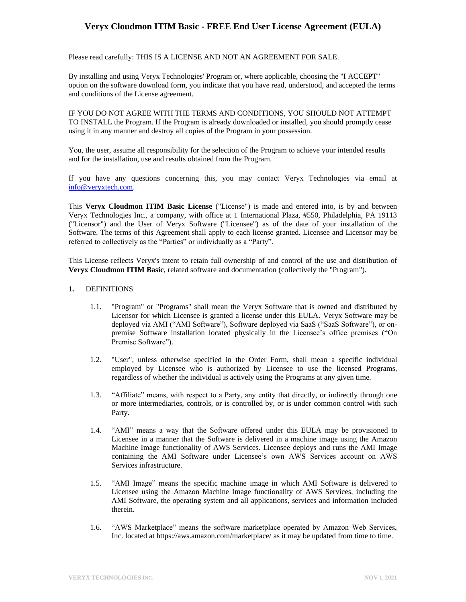Please read carefully: THIS IS A LICENSE AND NOT AN AGREEMENT FOR SALE.

By installing and using Veryx Technologies' Program or, where applicable, choosing the "I ACCEPT" option on the software download form, you indicate that you have read, understood, and accepted the terms and conditions of the License agreement.

IF YOU DO NOT AGREE WITH THE TERMS AND CONDITIONS, YOU SHOULD NOT ATTEMPT TO INSTALL the Program. If the Program is already downloaded or installed, you should promptly cease using it in any manner and destroy all copies of the Program in your possession.

You, the user, assume all responsibility for the selection of the Program to achieve your intended results and for the installation, use and results obtained from the Program.

If you have any questions concerning this, you may contact Veryx Technologies via email at [info@veryxtech.com.](mailto:info@veryxtech.com)

This **Veryx Cloudmon ITIM Basic License** ("License") is made and entered into, is by and between Veryx Technologies Inc., a company, with office at 1 International Plaza, #550, Philadelphia, PA 19113 ("Licensor") and the User of Veryx Software ("Licensee") as of the date of your installation of the Software. The terms of this Agreement shall apply to each license granted. Licensee and Licensor may be referred to collectively as the "Parties" or individually as a "Party".

This License reflects Veryx's intent to retain full ownership of and control of the use and distribution of **Veryx Cloudmon ITIM Basic**, related software and documentation (collectively the "Program").

#### **1.** DEFINITIONS

- 1.1. "Program" or "Programs" shall mean the Veryx Software that is owned and distributed by Licensor for which Licensee is granted a license under this EULA. Veryx Software may be deployed via AMI ("AMI Software"), Software deployed via SaaS ("SaaS Software"), or onpremise Software installation located physically in the Licensee's office premises ("On Premise Software").
- 1.2. "User", unless otherwise specified in the Order Form, shall mean a specific individual employed by Licensee who is authorized by Licensee to use the licensed Programs, regardless of whether the individual is actively using the Programs at any given time.
- 1.3. "Affiliate" means, with respect to a Party, any entity that directly, or indirectly through one or more intermediaries, controls, or is controlled by, or is under common control with such Party.
- 1.4. "AMI" means a way that the Software offered under this EULA may be provisioned to Licensee in a manner that the Software is delivered in a machine image using the Amazon Machine Image functionality of AWS Services. Licensee deploys and runs the AMI Image containing the AMI Software under Licensee's own AWS Services account on AWS Services infrastructure.
- 1.5. "AMI Image" means the specific machine image in which AMI Software is delivered to Licensee using the Amazon Machine Image functionality of AWS Services, including the AMI Software, the operating system and all applications, services and information included therein.
- 1.6. "AWS Marketplace" means the software marketplace operated by Amazon Web Services, Inc. located a[t https://aws.amazon.com/marketplace/](https://aws.amazon.com/marketplace/) as it may be updated from time to time.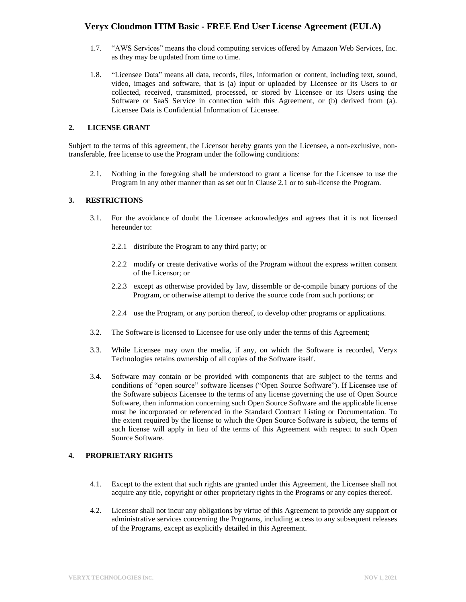- 1.7. "AWS Services" means the cloud computing services offered by Amazon Web Services, Inc. as they may be updated from time to time.
- 1.8. "Licensee Data" means all data, records, files, information or content, including text, sound, video, images and software, that is (a) input or uploaded by Licensee or its Users to or collected, received, transmitted, processed, or stored by Licensee or its Users using the Software or SaaS Service in connection with this Agreement, or (b) derived from (a). Licensee Data is Confidential Information of Licensee.

### **2. LICENSE GRANT**

Subject to the terms of this agreement, the Licensor hereby grants you the Licensee, a non-exclusive, nontransferable, free license to use the Program under the following conditions:

2.1. Nothing in the foregoing shall be understood to grant a license for the Licensee to use the Program in any other manner than as set out in Clause 2.1 or to sub-license the Program.

### **3. RESTRICTIONS**

- 3.1. For the avoidance of doubt the Licensee acknowledges and agrees that it is not licensed hereunder to:
	- 2.2.1 distribute the Program to any third party; or
	- 2.2.2 modify or create derivative works of the Program without the express written consent of the Licensor; or
	- 2.2.3 except as otherwise provided by law, dissemble or de-compile binary portions of the Program, or otherwise attempt to derive the source code from such portions; or
	- 2.2.4 use the Program, or any portion thereof, to develop other programs or applications.
- 3.2. The Software is licensed to Licensee for use only under the terms of this Agreement;
- 3.3. While Licensee may own the media, if any, on which the Software is recorded, Veryx Technologies retains ownership of all copies of the Software itself.
- 3.4. Software may contain or be provided with components that are subject to the terms and conditions of "open source" software licenses ("Open Source Software"). If Licensee use of the Software subjects Licensee to the terms of any license governing the use of Open Source Software, then information concerning such Open Source Software and the applicable license must be incorporated or referenced in the Standard Contract Listing or Documentation. To the extent required by the license to which the Open Source Software is subject, the terms of such license will apply in lieu of the terms of this Agreement with respect to such Open Source Software.

### **4. PROPRIETARY RIGHTS**

- 4.1. Except to the extent that such rights are granted under this Agreement, the Licensee shall not acquire any title, copyright or other proprietary rights in the Programs or any copies thereof.
- 4.2. Licensor shall not incur any obligations by virtue of this Agreement to provide any support or administrative services concerning the Programs, including access to any subsequent releases of the Programs, except as explicitly detailed in this Agreement.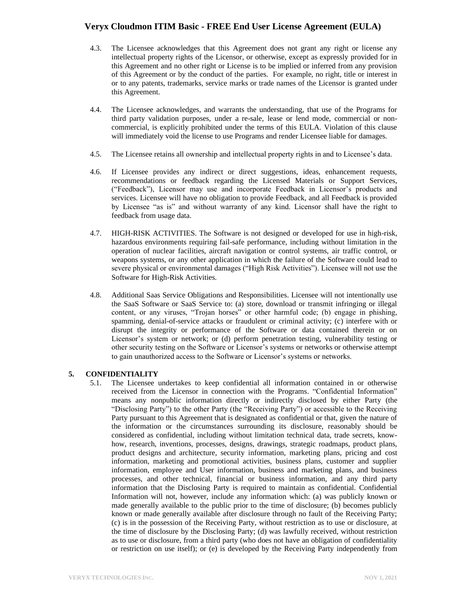- 4.3. The Licensee acknowledges that this Agreement does not grant any right or license any intellectual property rights of the Licensor, or otherwise, except as expressly provided for in this Agreement and no other right or License is to be implied or inferred from any provision of this Agreement or by the conduct of the parties. For example, no right, title or interest in or to any patents, trademarks, service marks or trade names of the Licensor is granted under this Agreement.
- 4.4. The Licensee acknowledges, and warrants the understanding, that use of the Programs for third party validation purposes, under a re-sale, lease or lend mode, commercial or noncommercial, is explicitly prohibited under the terms of this EULA. Violation of this clause will immediately void the license to use Programs and render Licensee liable for damages.
- 4.5. The Licensee retains all ownership and intellectual property rights in and to Licensee's data.
- 4.6. If Licensee provides any indirect or direct suggestions, ideas, enhancement requests, recommendations or feedback regarding the Licensed Materials or Support Services, ("Feedback"), Licensor may use and incorporate Feedback in Licensor's products and services. Licensee will have no obligation to provide Feedback, and all Feedback is provided by Licensee "as is" and without warranty of any kind. Licensor shall have the right to feedback from usage data.
- 4.7. HIGH-RISK ACTIVITIES. The Software is not designed or developed for use in high-risk, hazardous environments requiring fail-safe performance, including without limitation in the operation of nuclear facilities, aircraft navigation or control systems, air traffic control, or weapons systems, or any other application in which the failure of the Software could lead to severe physical or environmental damages ("High Risk Activities"). Licensee will not use the Software for High-Risk Activities.
- 4.8. Additional Saas Service Obligations and Responsibilities. Licensee will not intentionally use the SaaS Software or SaaS Service to: (a) store, download or transmit infringing or illegal content, or any viruses, "Trojan horses" or other harmful code; (b) engage in phishing, spamming, denial-of-service attacks or fraudulent or criminal activity; (c) interfere with or disrupt the integrity or performance of the Software or data contained therein or on Licensor's system or network; or (d) perform penetration testing, vulnerability testing or other security testing on the Software or Licensor's systems or networks or otherwise attempt to gain unauthorized access to the Software or Licensor's systems or networks.

### **5. CONFIDENTIALITY**

5.1. The Licensee undertakes to keep confidential all information contained in or otherwise received from the Licensor in connection with the Programs. "Confidential Information" means any nonpublic information directly or indirectly disclosed by either Party (the "Disclosing Party") to the other Party (the "Receiving Party") or accessible to the Receiving Party pursuant to this Agreement that is designated as confidential or that, given the nature of the information or the circumstances surrounding its disclosure, reasonably should be considered as confidential, including without limitation technical data, trade secrets, knowhow, research, inventions, processes, designs, drawings, strategic roadmaps, product plans, product designs and architecture, security information, marketing plans, pricing and cost information, marketing and promotional activities, business plans, customer and supplier information, employee and User information, business and marketing plans, and business processes, and other technical, financial or business information, and any third party information that the Disclosing Party is required to maintain as confidential. Confidential Information will not, however, include any information which: (a) was publicly known or made generally available to the public prior to the time of disclosure; (b) becomes publicly known or made generally available after disclosure through no fault of the Receiving Party; (c) is in the possession of the Receiving Party, without restriction as to use or disclosure, at the time of disclosure by the Disclosing Party; (d) was lawfully received, without restriction as to use or disclosure, from a third party (who does not have an obligation of confidentiality or restriction on use itself); or (e) is developed by the Receiving Party independently from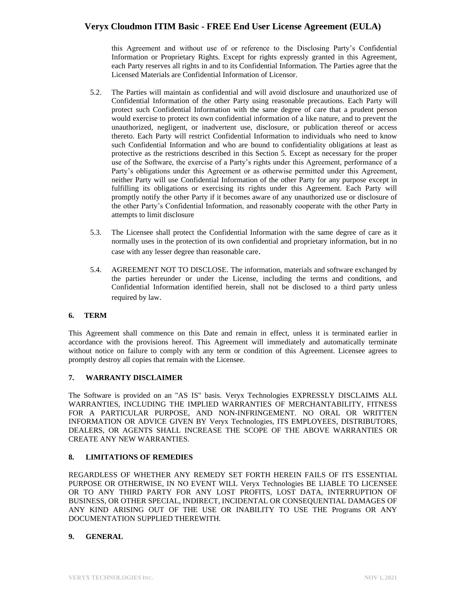this Agreement and without use of or reference to the Disclosing Party's Confidential Information or Proprietary Rights. Except for rights expressly granted in this Agreement, each Party reserves all rights in and to its Confidential Information. The Parties agree that the Licensed Materials are Confidential Information of Licensor.

- 5.2. The Parties will maintain as confidential and will avoid disclosure and unauthorized use of Confidential Information of the other Party using reasonable precautions. Each Party will protect such Confidential Information with the same degree of care that a prudent person would exercise to protect its own confidential information of a like nature, and to prevent the unauthorized, negligent, or inadvertent use, disclosure, or publication thereof or access thereto. Each Party will restrict Confidential Information to individuals who need to know such Confidential Information and who are bound to confidentiality obligations at least as protective as the restrictions described in this Section 5. Except as necessary for the proper use of the Software, the exercise of a Party's rights under this Agreement, performance of a Party's obligations under this Agreement or as otherwise permitted under this Agreement, neither Party will use Confidential Information of the other Party for any purpose except in fulfilling its obligations or exercising its rights under this Agreement. Each Party will promptly notify the other Party if it becomes aware of any unauthorized use or disclosure of the other Party's Confidential Information, and reasonably cooperate with the other Party in attempts to limit disclosure
- 5.3. The Licensee shall protect the Confidential Information with the same degree of care as it normally uses in the protection of its own confidential and proprietary information, but in no case with any lesser degree than reasonable care.
- 5.4. AGREEMENT NOT TO DISCLOSE. The information, materials and software exchanged by the parties hereunder or under the License, including the terms and conditions, and Confidential Information identified herein, shall not be disclosed to a third party unless required by law.

### **6. TERM**

This Agreement shall commence on this Date and remain in effect, unless it is terminated earlier in accordance with the provisions hereof. This Agreement will immediately and automatically terminate without notice on failure to comply with any term or condition of this Agreement. Licensee agrees to promptly destroy all copies that remain with the Licensee.

### **7. WARRANTY DISCLAIMER**

The Software is provided on an "AS IS" basis. Veryx Technologies EXPRESSLY DISCLAIMS ALL WARRANTIES, INCLUDING THE IMPLIED WARRANTIES OF MERCHANTABILITY, FITNESS FOR A PARTICULAR PURPOSE, AND NON-INFRINGEMENT. NO ORAL OR WRITTEN INFORMATION OR ADVICE GIVEN BY Veryx Technologies, ITS EMPLOYEES, DISTRIBUTORS, DEALERS, OR AGENTS SHALL INCREASE THE SCOPE OF THE ABOVE WARRANTIES OR CREATE ANY NEW WARRANTIES.

### **8. LIMITATIONS OF REMEDIES**

REGARDLESS OF WHETHER ANY REMEDY SET FORTH HEREIN FAILS OF ITS ESSENTIAL PURPOSE OR OTHERWISE, IN NO EVENT WILL Veryx Technologies BE LIABLE TO LICENSEE OR TO ANY THIRD PARTY FOR ANY LOST PROFITS, LOST DATA, INTERRUPTION OF BUSINESS, OR OTHER SPECIAL, INDIRECT, INCIDENTAL OR CONSEQUENTIAL DAMAGES OF ANY KIND ARISING OUT OF THE USE OR INABILITY TO USE THE Programs OR ANY DOCUMENTATION SUPPLIED THEREWITH.

### **9. GENERAL**